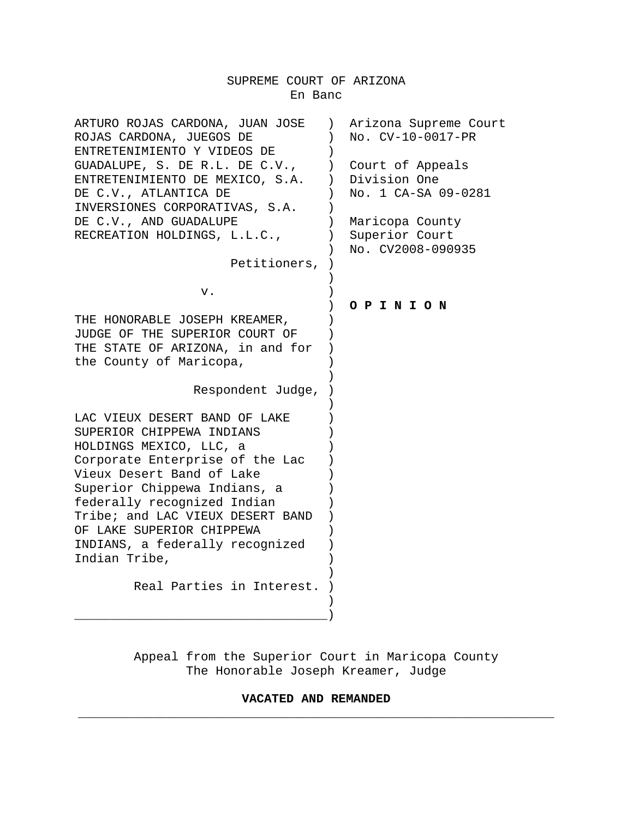# SUPREME COURT OF ARIZONA En Banc

| ARTURO ROJAS CARDONA, JUAN JOSE  | Arizona Supreme Court<br>$\left( \right)$ |
|----------------------------------|-------------------------------------------|
| ROJAS CARDONA, JUEGOS DE         | No. CV-10-0017-PR                         |
| ENTRETENIMIENTO Y VIDEOS DE      |                                           |
| GUADALUPE, S. DE R.L. DE C.V.,   | Court of Appeals                          |
| ENTRETENIMIENTO DE MEXICO, S.A.  | Division One<br>$\mathcal{L}$             |
| DE C.V., ATLANTICA DE            | No. 1 CA-SA 09-0281                       |
| INVERSIONES CORPORATIVAS, S.A.   |                                           |
| DE C.V., AND GUADALUPE           | Maricopa County                           |
| RECREATION HOLDINGS, L.L.C.,     | Superior Court                            |
|                                  | No. CV2008-090935                         |
| Petitioners,                     |                                           |
|                                  |                                           |
| v.                               |                                           |
|                                  | OPINION                                   |
| THE HONORABLE JOSEPH KREAMER,    |                                           |
| JUDGE OF THE SUPERIOR COURT OF   |                                           |
| THE STATE OF ARIZONA, in and for |                                           |
| the County of Maricopa,          |                                           |
|                                  |                                           |
| Respondent Judge,                |                                           |
|                                  |                                           |
| LAC VIEUX DESERT BAND OF LAKE    |                                           |
| SUPERIOR CHIPPEWA INDIANS        |                                           |
| HOLDINGS MEXICO, LLC, a          |                                           |
| Corporate Enterprise of the Lac  |                                           |
| Vieux Desert Band of Lake        |                                           |
| Superior Chippewa Indians, a     |                                           |
| federally recognized Indian      |                                           |
| Tribe; and LAC VIEUX DESERT BAND |                                           |
| OF LAKE SUPERIOR CHIPPEWA        |                                           |
| INDIANS, a federally recognized  |                                           |
| Indian Tribe,                    |                                           |
|                                  |                                           |
| Real Parties in Interest.        |                                           |
|                                  |                                           |
|                                  |                                           |

Appeal from the Superior Court in Maricopa County The Honorable Joseph Kreamer, Judge

## **VACATED AND REMANDED** \_\_\_\_\_\_\_\_\_\_\_\_\_\_\_\_\_\_\_\_\_\_\_\_\_\_\_\_\_\_\_\_\_\_\_\_\_\_\_\_\_\_\_\_\_\_\_\_\_\_\_\_\_\_\_\_\_\_\_\_\_\_\_\_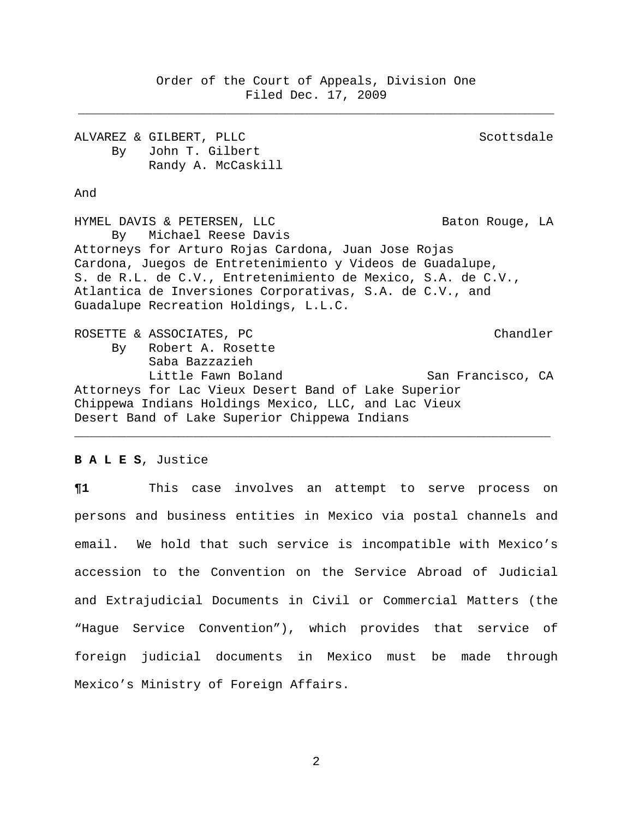Order of the Court of Appeals, Division One Filed Dec. 17, 2009

\_\_\_\_\_\_\_\_\_\_\_\_\_\_\_\_\_\_\_\_\_\_\_\_\_\_\_\_\_\_\_\_\_\_\_\_\_\_\_\_\_\_\_\_\_\_\_\_\_\_\_\_\_\_\_\_\_\_\_\_\_\_\_\_

ALVAREZ & GILBERT, PLLC SCOTTS SCOTTS AND RESERVE SCOTTS SCOTTS. By John T. Gilbert Randy A. McCaskill

And

HYMEL DAVIS & PETERSEN, LLC Baton Rouge, LA By Michael Reese Davis Attorneys for Arturo Rojas Cardona, Juan Jose Rojas Cardona, Juegos de Entretenimiento y Videos de Guadalupe, S. de R.L. de C.V., Entretenimiento de Mexico, S.A. de C.V., Atlantica de Inversiones Corporativas, S.A. de C.V., and Guadalupe Recreation Holdings, L.L.C. ROSETTE & ASSOCIATES, PC and the chandler chandler By Robert A. Rosette Saba Bazzazieh

Little Fawn Boland San Francisco, CA Attorneys for Lac Vieux Desert Band of Lake Superior Chippewa Indians Holdings Mexico, LLC, and Lac Vieux Desert Band of Lake Superior Chippewa Indians

\_\_\_\_\_\_\_\_\_\_\_\_\_\_\_\_\_\_\_\_\_\_\_\_\_\_\_\_\_\_\_\_\_\_\_\_\_\_\_\_\_\_\_\_\_\_\_\_\_\_\_\_\_\_\_\_\_\_\_\_\_\_\_\_

### **B A L E S**, Justice

**¶1** This case involves an attempt to serve process on persons and business entities in Mexico via postal channels and email. We hold that such service is incompatible with Mexico's accession to the Convention on the Service Abroad of Judicial and Extrajudicial Documents in Civil or Commercial Matters (the "Hague Service Convention"), which provides that service of foreign judicial documents in Mexico must be made through Mexico's Ministry of Foreign Affairs.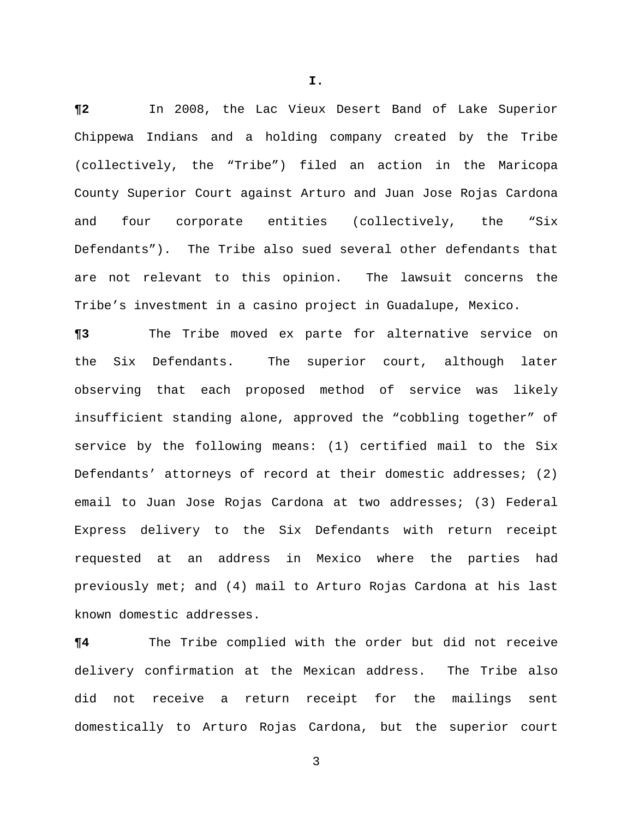**¶2** In 2008, the Lac Vieux Desert Band of Lake Superior Chippewa Indians and a holding company created by the Tribe (collectively, the "Tribe") filed an action in the Maricopa County Superior Court against Arturo and Juan Jose Rojas Cardona and four corporate entities (collectively, the "Six Defendants"). The Tribe also sued several other defendants that are not relevant to this opinion. The lawsuit concerns the Tribe's investment in a casino project in Guadalupe, Mexico.

**¶3** The Tribe moved ex parte for alternative service on the Six Defendants. The superior court, although later observing that each proposed method of service was likely insufficient standing alone, approved the "cobbling together" of service by the following means: (1) certified mail to the Six Defendants' attorneys of record at their domestic addresses; (2) email to Juan Jose Rojas Cardona at two addresses; (3) Federal Express delivery to the Six Defendants with return receipt requested at an address in Mexico where the parties had previously met; and (4) mail to Arturo Rojas Cardona at his last known domestic addresses.

**¶4** The Tribe complied with the order but did not receive delivery confirmation at the Mexican address. The Tribe also did not receive a return receipt for the mailings sent domestically to Arturo Rojas Cardona, but the superior court

3

**I.**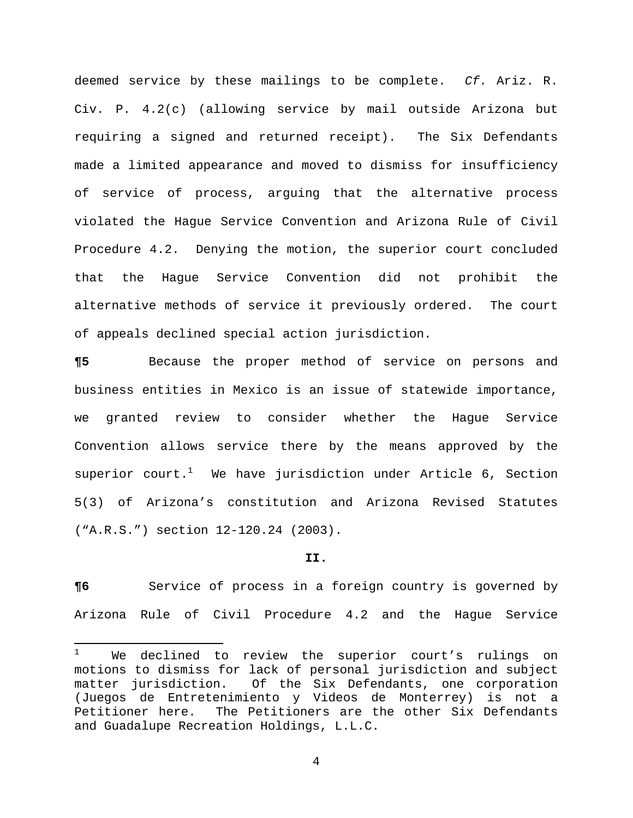deemed service by these mailings to be complete. *Cf.* Ariz. R. Civ. P. 4.2(c) (allowing service by mail outside Arizona but requiring a signed and returned receipt). The Six Defendants made a limited appearance and moved to dismiss for insufficiency of service of process, arguing that the alternative process violated the Hague Service Convention and Arizona Rule of Civil Procedure 4.2. Denying the motion, the superior court concluded that the Hague Service Convention did not prohibit the alternative methods of service it previously ordered. The court of appeals declined special action jurisdiction.

**¶5** Because the proper method of service on persons and business entities in Mexico is an issue of statewide importance, we granted review to consider whether the Hague Service Convention allows service there by the means approved by the superior court. $^1$  We have jurisdiction under Article 6, Section 5(3) of Arizona's constitution and Arizona Revised Statutes ("A.R.S.") section 12-120.24 (2003).

#### **II.**

**¶6** Service of process in a foreign country is governed by Arizona Rule of Civil Procedure 4.2 and the Hague Service

<sup>1</sup> We declined to review the superior court's rulings on motions to dismiss for lack of personal jurisdiction and subject matter jurisdiction. Of the Six Defendants, one corporation (Juegos de Entretenimiento y Videos de Monterrey) is not a Petitioner here. The Petitioners are the other Six Defendants and Guadalupe Recreation Holdings, L.L.C.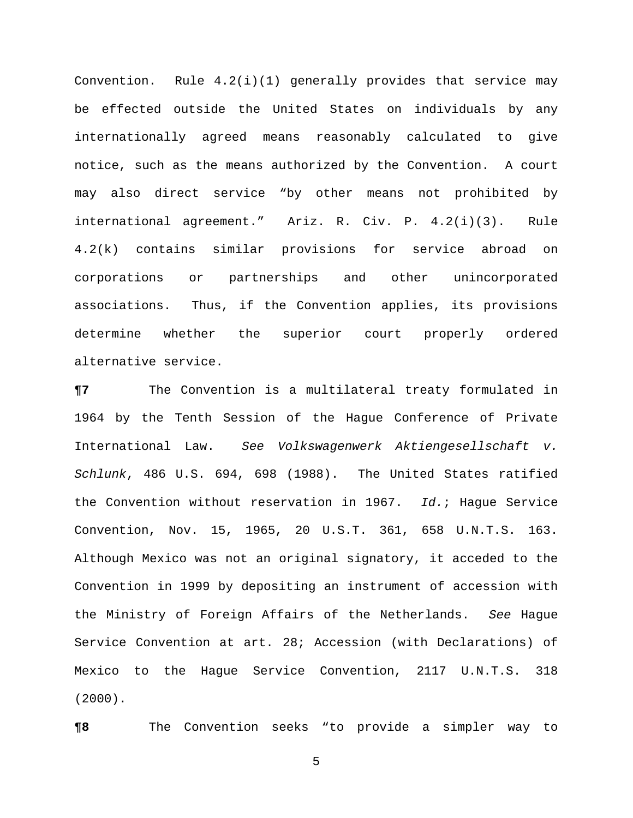Convention. Rule 4.2(i)(1) generally provides that service may be effected outside the United States on individuals by any internationally agreed means reasonably calculated to give notice, such as the means authorized by the Convention. A court may also direct service "by other means not prohibited by international agreement." Ariz. R. Civ. P. 4.2(i)(3). Rule 4.2(k) contains similar provisions for service abroad on corporations or partnerships and other unincorporated associations. Thus, if the Convention applies, its provisions determine whether the superior court properly ordered alternative service.

**¶7** The Convention is a multilateral treaty formulated in 1964 by the Tenth Session of the Hague Conference of Private International Law. *See Volkswagenwerk Aktiengesellschaft v. Schlunk*, 486 U.S. 694, 698 (1988). The United States ratified the Convention without reservation in 1967. *Id.*; Hague Service Convention, Nov. 15, 1965, 20 U.S.T. 361, 658 U.N.T.S. 163. Although Mexico was not an original signatory, it acceded to the Convention in 1999 by depositing an instrument of accession with the Ministry of Foreign Affairs of the Netherlands. *See* Hague Service Convention at art. 28; Accession (with Declarations) of Mexico to the Hague Service Convention, 2117 U.N.T.S. 318 (2000).

**¶8** The Convention seeks "to provide a simpler way to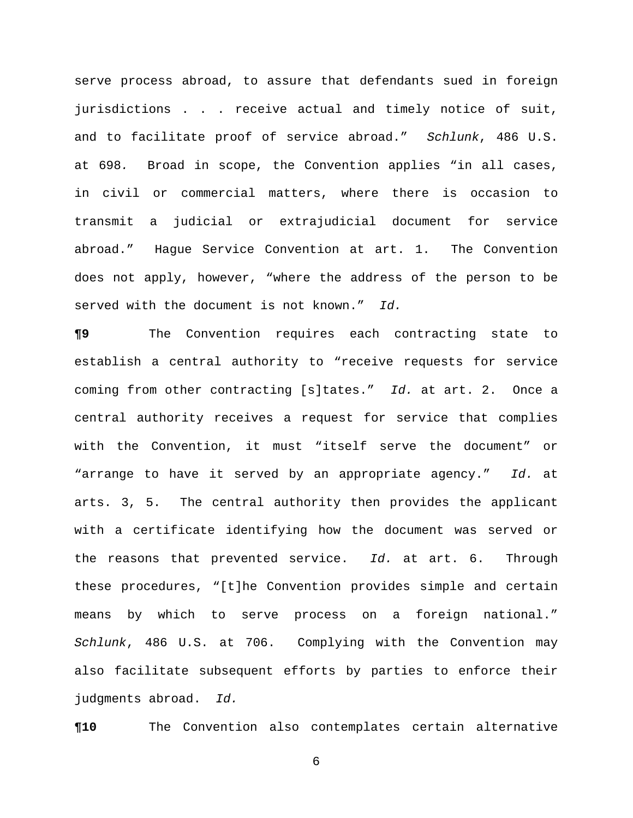serve process abroad, to assure that defendants sued in foreign jurisdictions . . . receive actual and timely notice of suit, and to facilitate proof of service abroad." *Schlunk*, 486 U.S. at 698*.* Broad in scope, the Convention applies "in all cases, in civil or commercial matters, where there is occasion to transmit a judicial or extrajudicial document for service abroad." Hague Service Convention at art. 1. The Convention does not apply, however, "where the address of the person to be served with the document is not known." *Id.*

**¶9** The Convention requires each contracting state to establish a central authority to "receive requests for service coming from other contracting [s]tates." *Id.* at art. 2. Once a central authority receives a request for service that complies with the Convention, it must "itself serve the document" or "arrange to have it served by an appropriate agency." *Id.* at arts. 3, 5. The central authority then provides the applicant with a certificate identifying how the document was served or the reasons that prevented service. *Id.* at art. 6. Through these procedures, "[t]he Convention provides simple and certain means by which to serve process on a foreign national." *Schlunk*, 486 U.S. at 706. Complying with the Convention may also facilitate subsequent efforts by parties to enforce their judgments abroad. *Id.*

**¶10** The Convention also contemplates certain alternative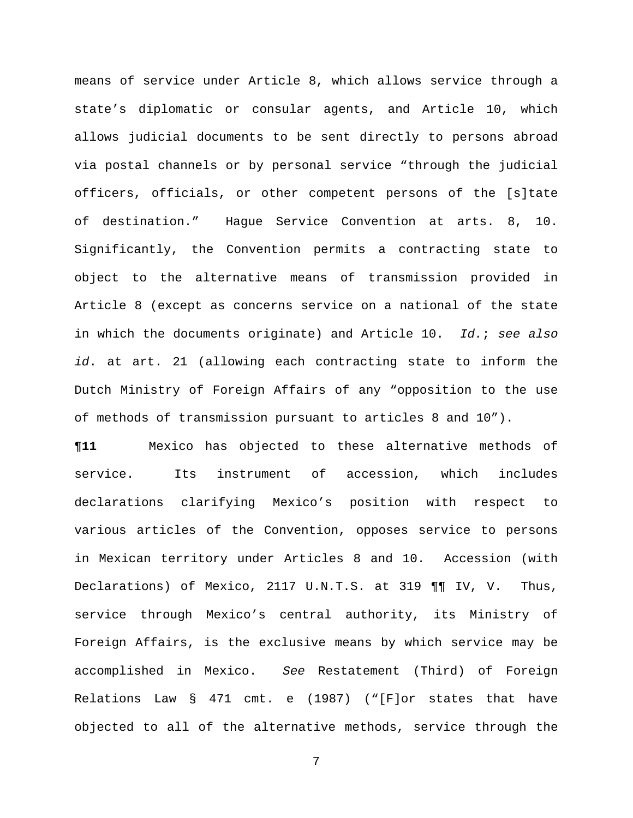means of service under Article 8, which allows service through a state's diplomatic or consular agents, and Article 10, which allows judicial documents to be sent directly to persons abroad via postal channels or by personal service "through the judicial officers, officials, or other competent persons of the [s]tate of destination." Hague Service Convention at arts. 8, 10. Significantly, the Convention permits a contracting state to object to the alternative means of transmission provided in Article 8 (except as concerns service on a national of the state in which the documents originate) and Article 10. *Id.*; *see also id*. at art. 21 (allowing each contracting state to inform the Dutch Ministry of Foreign Affairs of any "opposition to the use of methods of transmission pursuant to articles 8 and 10").

**¶11** Mexico has objected to these alternative methods of service. Its instrument of accession, which includes declarations clarifying Mexico's position with respect to various articles of the Convention, opposes service to persons in Mexican territory under Articles 8 and 10. Accession (with Declarations) of Mexico, 2117 U.N.T.S. at 319 ¶¶ IV, V. Thus, service through Mexico's central authority, its Ministry of Foreign Affairs, is the exclusive means by which service may be accomplished in Mexico. *See* Restatement (Third) of Foreign Relations Law § 471 cmt. e (1987) ("[F]or states that have objected to all of the alternative methods, service through the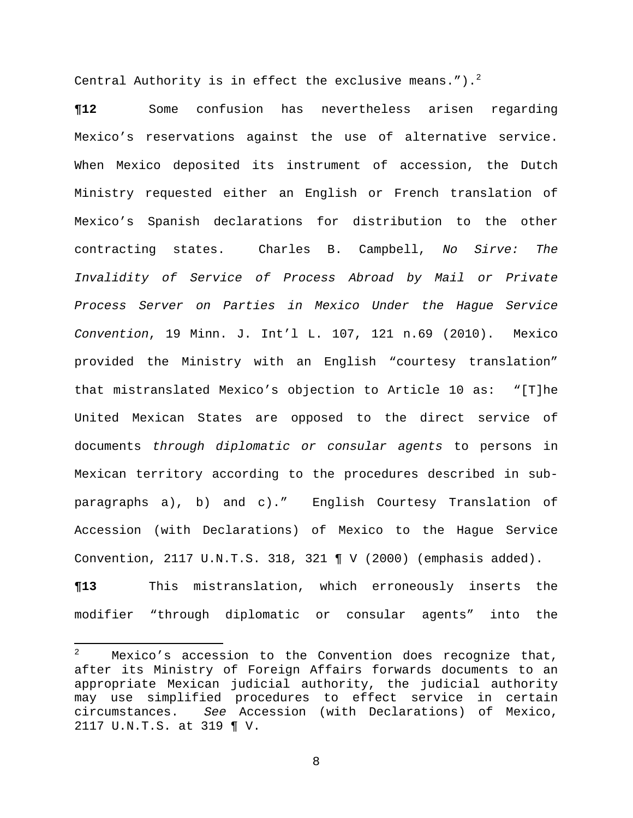Central Authority is in effect the exclusive means.").<sup>2</sup>

**¶12** Some confusion has nevertheless arisen regarding Mexico's reservations against the use of alternative service. When Mexico deposited its instrument of accession, the Dutch Ministry requested either an English or French translation of Mexico's Spanish declarations for distribution to the other contracting states. Charles B. Campbell, *No Sirve: The Invalidity of Service of Process Abroad by Mail or Private Process Server on Parties in Mexico Under the Hague Service Convention*, 19 Minn. J. Int'l L. 107, 121 n.69 (2010). Mexico provided the Ministry with an English "courtesy translation" that mistranslated Mexico's objection to Article 10 as: "[T]he United Mexican States are opposed to the direct service of documents *through diplomatic or consular agents* to persons in Mexican territory according to the procedures described in subparagraphs a), b) and c)." English Courtesy Translation of Accession (with Declarations) of Mexico to the Hague Service Convention, 2117 U.N.T.S. 318, 321 ¶ V (2000) (emphasis added).

**¶13** This mistranslation, which erroneously inserts the modifier "through diplomatic or consular agents" into the

<sup>2</sup> Mexico's accession to the Convention does recognize that, after its Ministry of Foreign Affairs forwards documents to an appropriate Mexican judicial authority, the judicial authority may use simplified procedures to effect service in certain circumstances. *See* Accession (with Declarations) of Mexico, 2117 U.N.T.S. at 319 ¶ V.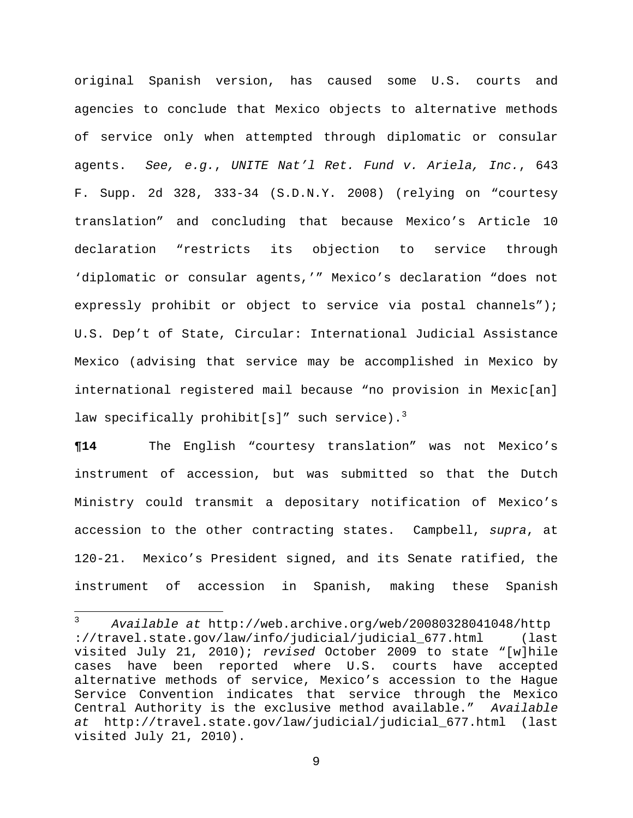original Spanish version, has caused some U.S. courts and agencies to conclude that Mexico objects to alternative methods of service only when attempted through diplomatic or consular agents. *See, e.g.*, *UNITE Nat'l Ret. Fund v. Ariela, Inc.*, 643 F. Supp. 2d 328, 333-34 (S.D.N.Y. 2008) (relying on "courtesy translation" and concluding that because Mexico's Article 10 declaration "restricts its objection to service through 'diplomatic or consular agents,'" Mexico's declaration "does not expressly prohibit or object to service via postal channels"); U.S. Dep't of State, Circular: International Judicial Assistance Mexico (advising that service may be accomplished in Mexico by international registered mail because "no provision in Mexic[an] law specifically prohibit[s]" such service).<sup>3</sup>

**¶14** The English "courtesy translation" was not Mexico's instrument of accession, but was submitted so that the Dutch Ministry could transmit a depositary notification of Mexico's accession to the other contracting states. Campbell, *supra*, at 120-21. Mexico's President signed, and its Senate ratified, the instrument of accession in Spanish, making these Spanish

<sup>3</sup>  *Available at* http://web.archive.org/web/20080328041048/http ://travel.state.gov/law/info/judicial/judicial\_677.html (last visited July 21, 2010); *revised* October 2009 to state "[w]hile cases have been reported where U.S. courts have accepted alternative methods of service, Mexico's accession to the Hague Service Convention indicates that service through the Mexico Central Authority is the exclusive method available." *Available at* http://travel.state.gov/law/judicial/judicial\_677.html (last visited July 21, 2010).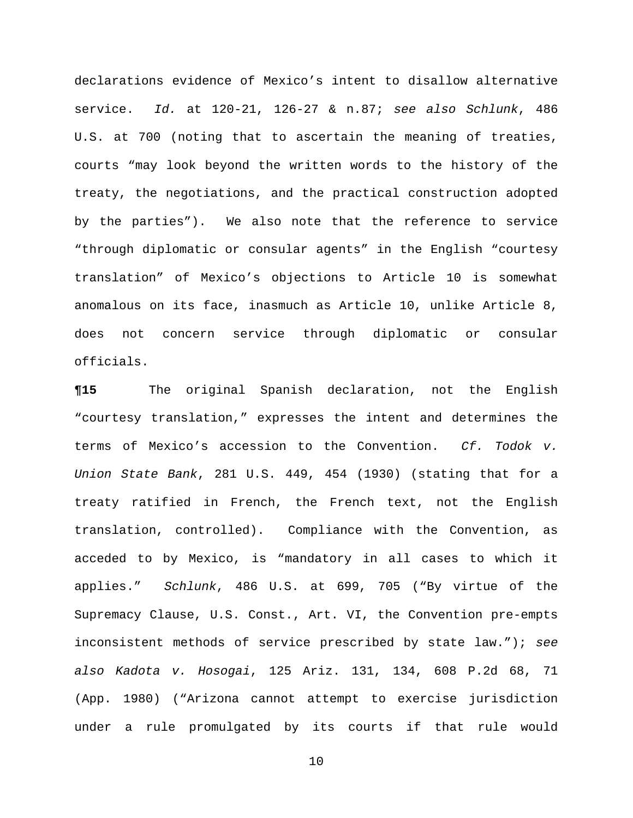declarations evidence of Mexico's intent to disallow alternative service. *Id.* at 120-21, 126-27 & n.87; *see also Schlunk*, 486 U.S. at 700 (noting that to ascertain the meaning of treaties, courts "may look beyond the written words to the history of the treaty, the negotiations, and the practical construction adopted by the parties"). We also note that the reference to service "through diplomatic or consular agents" in the English "courtesy translation" of Mexico's objections to Article 10 is somewhat anomalous on its face, inasmuch as Article 10, unlike Article 8, does not concern service through diplomatic or consular officials.

**¶15** The original Spanish declaration, not the English "courtesy translation," expresses the intent and determines the terms of Mexico's accession to the Convention. *Cf. Todok v. Union State Bank*, 281 U.S. 449, 454 (1930) (stating that for a treaty ratified in French, the French text, not the English translation, controlled). Compliance with the Convention, as acceded to by Mexico, is "mandatory in all cases to which it applies." *Schlunk*, 486 U.S. at 699, 705 ("By virtue of the Supremacy Clause, U.S. Const., Art. VI, the Convention pre-empts inconsistent methods of service prescribed by state law."); *see also Kadota v. Hosogai*, 125 Ariz. 131, 134, 608 P.2d 68, 71 (App. 1980) ("Arizona cannot attempt to exercise jurisdiction under a rule promulgated by its courts if that rule would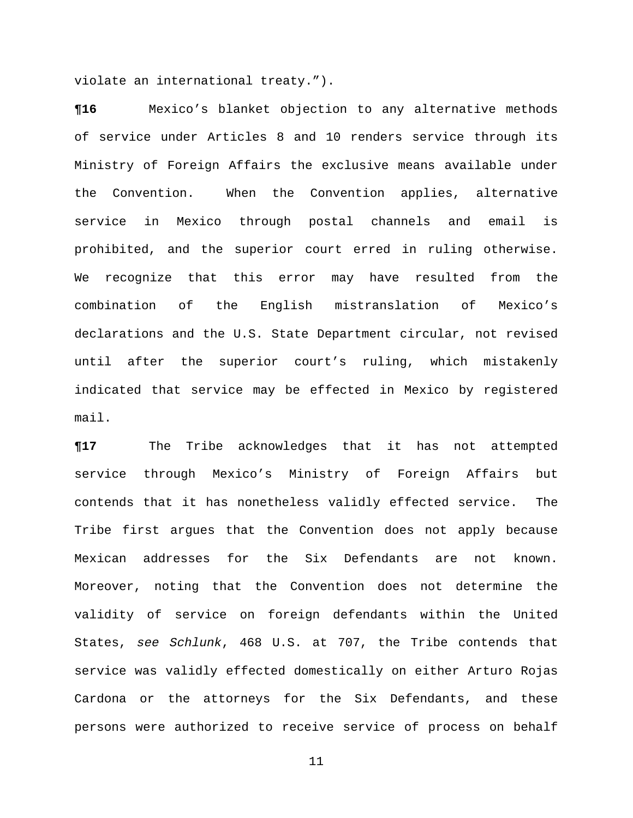violate an international treaty.").

**¶16** Mexico's blanket objection to any alternative methods of service under Articles 8 and 10 renders service through its Ministry of Foreign Affairs the exclusive means available under the Convention. When the Convention applies, alternative service in Mexico through postal channels and email is prohibited, and the superior court erred in ruling otherwise. We recognize that this error may have resulted from the combination of the English mistranslation of Mexico's declarations and the U.S. State Department circular, not revised until after the superior court's ruling, which mistakenly indicated that service may be effected in Mexico by registered mail.

**¶17** The Tribe acknowledges that it has not attempted service through Mexico's Ministry of Foreign Affairs but contends that it has nonetheless validly effected service. The Tribe first argues that the Convention does not apply because Mexican addresses for the Six Defendants are not known. Moreover, noting that the Convention does not determine the validity of service on foreign defendants within the United States, *see Schlunk*, 468 U.S. at 707, the Tribe contends that service was validly effected domestically on either Arturo Rojas Cardona or the attorneys for the Six Defendants, and these persons were authorized to receive service of process on behalf